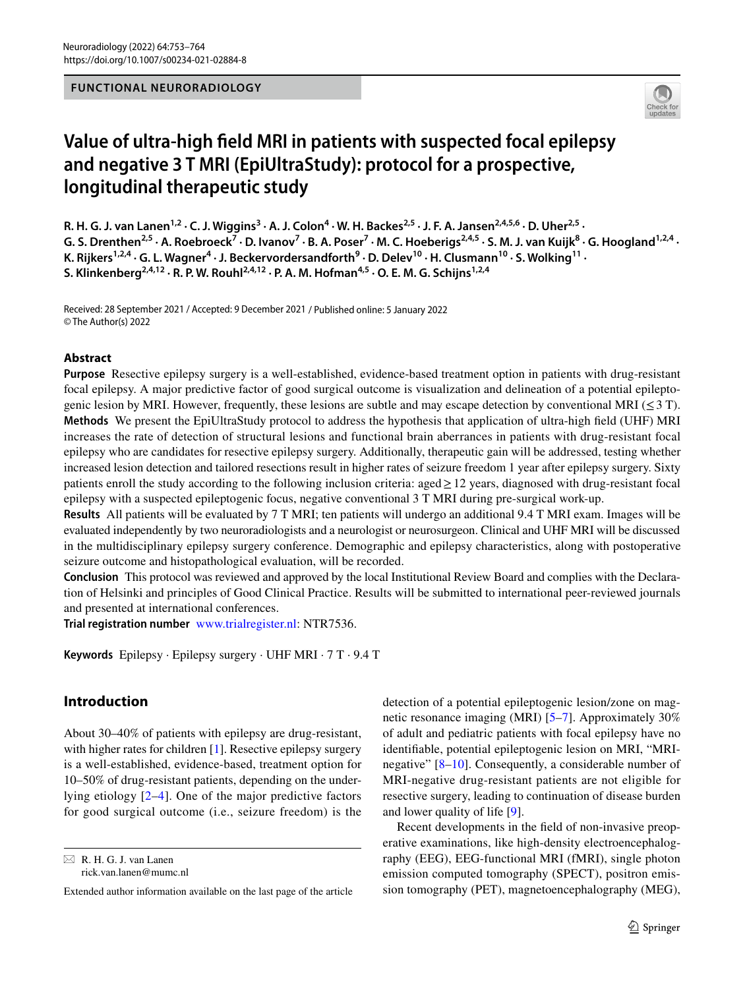# **FUNCTIONAL NEURORADIOLOGY**



# **Value of ultra‑high feld MRI in patients with suspected focal epilepsy and negative 3 T MRI (EpiUltraStudy): protocol for a prospective, longitudinal therapeutic study**

R. H. G. J. van Lanen<sup>1,2</sup> · C. J. Wiggins<sup>3</sup> · A. J. Colon<sup>4</sup> · W. H. Backes<sup>2,5</sup> · J. F. A. Jansen<sup>2,4,5,6</sup> · D. Uher<sup>2,5</sup> · G. S. Drenthen<sup>2,5</sup> · A. Roebroeck<sup>7</sup> · D. Ivanov<sup>7</sup> · B. A. Poser<sup>7</sup> · M. C. Hoeberigs<sup>2,4,5</sup> · S. M. J. van Kuijk<sup>8</sup> · G. Hoogland<sup>1,2,4</sup> · K. Rijkers<sup>1,2,4</sup> · G. L. Wagner<sup>4</sup> · J. Beckervordersandforth<sup>9</sup> · D. Delev<sup>10</sup> · H. Clusmann<sup>10</sup> · S. Wolking<sup>11</sup> · **S. Klinkenberg2,4,12 · R. P. W. Rouhl2,4,12 · P. A. M. Hofman4,5 · O. E. M. G. Schijns1,2,4**

Received: 28 September 2021 / Accepted: 9 December 2021 / Published online: 5 January 2022 © The Author(s) 2022

# **Abstract**

**Purpose** Resective epilepsy surgery is a well-established, evidence-based treatment option in patients with drug-resistant focal epilepsy. A major predictive factor of good surgical outcome is visualization and delineation of a potential epileptogenic lesion by MRI. However, frequently, these lesions are subtle and may escape detection by conventional MRI ( $\leq$ 3 T). **Methods** We present the EpiUltraStudy protocol to address the hypothesis that application of ultra-high feld (UHF) MRI increases the rate of detection of structural lesions and functional brain aberrances in patients with drug-resistant focal epilepsy who are candidates for resective epilepsy surgery. Additionally, therapeutic gain will be addressed, testing whether increased lesion detection and tailored resections result in higher rates of seizure freedom 1 year after epilepsy surgery. Sixty patients enroll the study according to the following inclusion criteria: aged≥12 years, diagnosed with drug-resistant focal epilepsy with a suspected epileptogenic focus, negative conventional 3 T MRI during pre-surgical work-up.

**Results** All patients will be evaluated by 7 T MRI; ten patients will undergo an additional 9.4 T MRI exam. Images will be evaluated independently by two neuroradiologists and a neurologist or neurosurgeon. Clinical and UHF MRI will be discussed in the multidisciplinary epilepsy surgery conference. Demographic and epilepsy characteristics, along with postoperative seizure outcome and histopathological evaluation, will be recorded.

**Conclusion** This protocol was reviewed and approved by the local Institutional Review Board and complies with the Declaration of Helsinki and principles of Good Clinical Practice. Results will be submitted to international peer-reviewed journals and presented at international conferences.

**Trial registration number** [www.trialregister.nl](http://www.trialregister.nl): NTR7536.

**Keywords** Epilepsy · Epilepsy surgery · UHF MRI · 7 T · 9.4 T

# **Introduction**

About 30–40% of patients with epilepsy are drug-resistant, with higher rates for children [[1\]](#page-8-0). Resective epilepsy surgery is a well-established, evidence-based, treatment option for 10–50% of drug-resistant patients, depending on the underlying etiology [[2](#page-8-1)–[4\]](#page-8-2). One of the major predictive factors for good surgical outcome (i.e., seizure freedom) is the

 $\boxtimes$  R. H. G. J. van Lanen rick.van.lanen@mumc.nl detection of a potential epileptogenic lesion/zone on magnetic resonance imaging (MRI) [\[5](#page-8-3)–[7\]](#page-9-0). Approximately 30% of adult and pediatric patients with focal epilepsy have no identifable, potential epileptogenic lesion on MRI, "MRInegative" [[8](#page-9-1)[–10](#page-9-2)]. Consequently, a considerable number of MRI-negative drug-resistant patients are not eligible for resective surgery, leading to continuation of disease burden and lower quality of life [\[9\]](#page-9-3).

Recent developments in the feld of non-invasive preoperative examinations, like high-density electroencephalography (EEG), EEG-functional MRI (fMRI), single photon emission computed tomography (SPECT), positron emission tomography (PET), magnetoencephalography (MEG),

Extended author information available on the last page of the article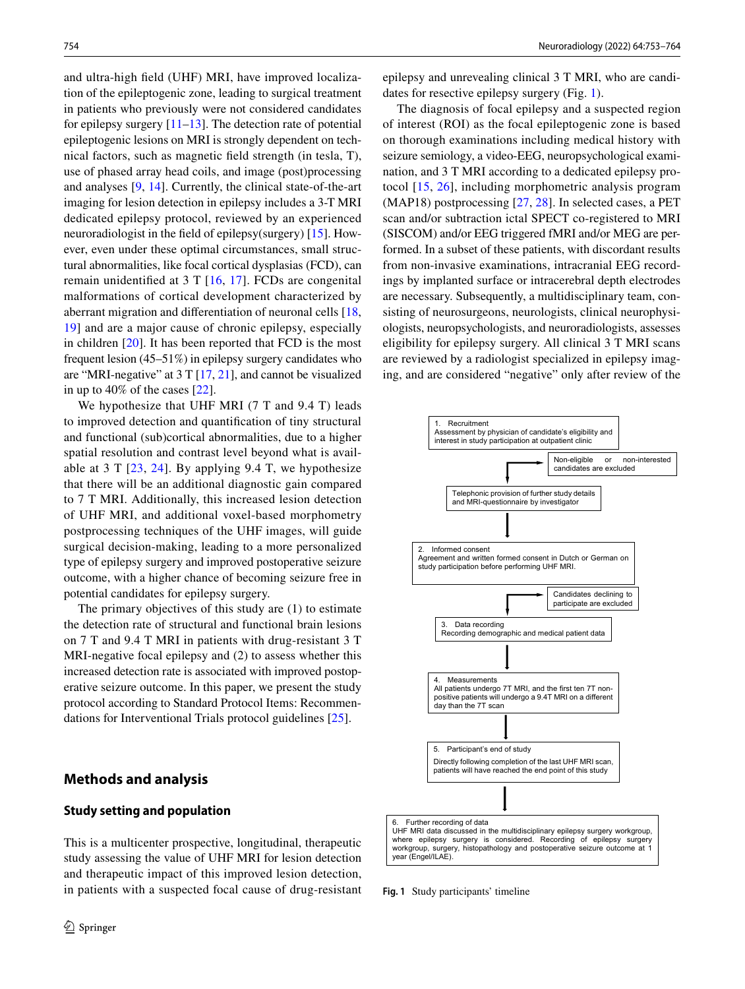and ultra-high feld (UHF) MRI, have improved localization of the epileptogenic zone, leading to surgical treatment in patients who previously were not considered candidates for epilepsy surgery [\[11](#page-9-4)[–13](#page-9-5)]. The detection rate of potential epileptogenic lesions on MRI is strongly dependent on technical factors, such as magnetic feld strength (in tesla, T), use of phased array head coils, and image (post)processing and analyses [\[9](#page-9-3), [14\]](#page-9-6). Currently, the clinical state-of-the-art imaging for lesion detection in epilepsy includes a 3-T MRI dedicated epilepsy protocol, reviewed by an experienced neuroradiologist in the feld of epilepsy(surgery) [[15\]](#page-9-7). However, even under these optimal circumstances, small structural abnormalities, like focal cortical dysplasias (FCD), can remain unidentifed at 3 T [\[16,](#page-9-8) [17\]](#page-9-9). FCDs are congenital malformations of cortical development characterized by aberrant migration and diferentiation of neuronal cells [[18,](#page-9-10) [19](#page-9-11)] and are a major cause of chronic epilepsy, especially in children [[20](#page-9-12)]. It has been reported that FCD is the most frequent lesion (45–51%) in epilepsy surgery candidates who are "MRI-negative" at  $3 T[17, 21]$  $3 T[17, 21]$  $3 T[17, 21]$  $3 T[17, 21]$ , and cannot be visualized in up to 40% of the cases [\[22](#page-9-14)].

We hypothesize that UHF MRI (7 T and 9.4 T) leads to improved detection and quantifcation of tiny structural and functional (sub)cortical abnormalities, due to a higher spatial resolution and contrast level beyond what is available at 3 T  $[23, 24]$  $[23, 24]$  $[23, 24]$  $[23, 24]$ . By applying 9.4 T, we hypothesize that there will be an additional diagnostic gain compared to 7 T MRI. Additionally, this increased lesion detection of UHF MRI, and additional voxel-based morphometry postprocessing techniques of the UHF images, will guide surgical decision-making, leading to a more personalized type of epilepsy surgery and improved postoperative seizure outcome, with a higher chance of becoming seizure free in potential candidates for epilepsy surgery.

The primary objectives of this study are (1) to estimate the detection rate of structural and functional brain lesions on 7 T and 9.4 T MRI in patients with drug-resistant 3 T MRI-negative focal epilepsy and (2) to assess whether this increased detection rate is associated with improved postoperative seizure outcome. In this paper, we present the study protocol according to Standard Protocol Items: Recommendations for Interventional Trials protocol guidelines [\[25](#page-9-17)].

# **Methods and analysis**

# **Study setting and population**

This is a multicenter prospective, longitudinal, therapeutic study assessing the value of UHF MRI for lesion detection and therapeutic impact of this improved lesion detection, in patients with a suspected focal cause of drug-resistant epilepsy and unrevealing clinical 3 T MRI, who are candidates for resective epilepsy surgery (Fig. [1](#page-1-0)).

The diagnosis of focal epilepsy and a suspected region of interest (ROI) as the focal epileptogenic zone is based on thorough examinations including medical history with seizure semiology, a video-EEG, neuropsychological examination, and 3 T MRI according to a dedicated epilepsy protocol [\[15,](#page-9-7) [26\]](#page-9-18), including morphometric analysis program (MAP18) postprocessing [\[27](#page-9-19), [28](#page-9-20)]. In selected cases, a PET scan and/or subtraction ictal SPECT co-registered to MRI (SISCOM) and/or EEG triggered fMRI and/or MEG are performed. In a subset of these patients, with discordant results from non-invasive examinations, intracranial EEG recordings by implanted surface or intracerebral depth electrodes are necessary. Subsequently, a multidisciplinary team, consisting of neurosurgeons, neurologists, clinical neurophysiologists, neuropsychologists, and neuroradiologists, assesses eligibility for epilepsy surgery. All clinical 3 T MRI scans are reviewed by a radiologist specialized in epilepsy imaging, and are considered "negative" only after review of the



<span id="page-1-0"></span>**Fig. 1** Study participants' timeline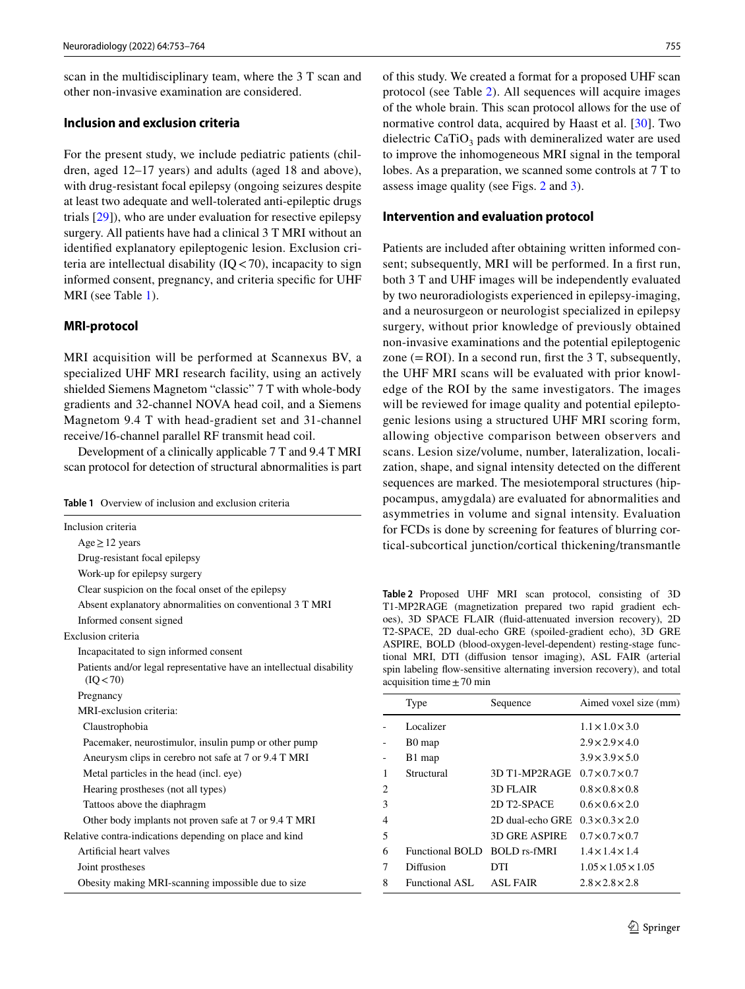scan in the multidisciplinary team, where the 3 T scan and other non-invasive examination are considered.

# **Inclusion and exclusion criteria**

For the present study, we include pediatric patients (children, aged 12–17 years) and adults (aged 18 and above), with drug-resistant focal epilepsy (ongoing seizures despite at least two adequate and well-tolerated anti-epileptic drugs trials [\[29](#page-9-21)]), who are under evaluation for resective epilepsy surgery. All patients have had a clinical 3 T MRI without an identifed explanatory epileptogenic lesion. Exclusion criteria are intellectual disability  $(IQ < 70)$ , incapacity to sign informed consent, pregnancy, and criteria specifc for UHF MRI (see Table [1](#page-2-0)).

# **MRI‑protocol**

MRI acquisition will be performed at Scannexus BV, a specialized UHF MRI research facility, using an actively shielded Siemens Magnetom "classic" 7 T with whole-body gradients and 32-channel NOVA head coil, and a Siemens Magnetom 9.4 T with head-gradient set and 31-channel receive/16-channel parallel RF transmit head coil.

Development of a clinically applicable 7 T and 9.4 T MRI scan protocol for detection of structural abnormalities is part

<span id="page-2-0"></span>

| <b>Table 1</b> Overview of inclusion and exclusion criteria |
|-------------------------------------------------------------|
|-------------------------------------------------------------|

| Inclusion criteria                                                                |  |  |  |  |
|-----------------------------------------------------------------------------------|--|--|--|--|
| $Age \ge 12$ years                                                                |  |  |  |  |
| Drug-resistant focal epilepsy                                                     |  |  |  |  |
| Work-up for epilepsy surgery                                                      |  |  |  |  |
| Clear suspicion on the focal onset of the epilepsy                                |  |  |  |  |
| Absent explanatory abnormalities on conventional 3 T MRI                          |  |  |  |  |
| Informed consent signed                                                           |  |  |  |  |
| Exclusion criteria                                                                |  |  |  |  |
| Incapacitated to sign informed consent                                            |  |  |  |  |
| Patients and/or legal representative have an intellectual disability<br>(IO < 70) |  |  |  |  |
| Pregnancy                                                                         |  |  |  |  |
| MRI-exclusion criteria:                                                           |  |  |  |  |
| Claustrophobia                                                                    |  |  |  |  |
| Pacemaker, neurostimulor, insulin pump or other pump                              |  |  |  |  |
| Aneurysm clips in cerebro not safe at 7 or 9.4 T MRI                              |  |  |  |  |
| Metal particles in the head (incl. eye)                                           |  |  |  |  |
| Hearing prostheses (not all types)                                                |  |  |  |  |
| Tattoos above the diaphragm                                                       |  |  |  |  |
| Other body implants not proven safe at 7 or 9.4 T MRI                             |  |  |  |  |
| Relative contra-indications depending on place and kind                           |  |  |  |  |
| Artificial heart valves                                                           |  |  |  |  |
| Joint prostheses                                                                  |  |  |  |  |
| Obesity making MRI-scanning impossible due to size                                |  |  |  |  |

of this study. We created a format for a proposed UHF scan protocol (see Table [2\)](#page-2-1). All sequences will acquire images of the whole brain. This scan protocol allows for the use of normative control data, acquired by Haast et al. [[30\]](#page-9-22). Two dielectric  $CaTiO<sub>3</sub>$  pads with demineralized water are used to improve the inhomogeneous MRI signal in the temporal lobes. As a preparation, we scanned some controls at 7 T to assess image quality (see Figs. [2](#page-3-0) and [3](#page-3-1)).

#### **Intervention and evaluation protocol**

Patients are included after obtaining written informed consent; subsequently, MRI will be performed. In a frst run, both 3 T and UHF images will be independently evaluated by two neuroradiologists experienced in epilepsy-imaging, and a neurosurgeon or neurologist specialized in epilepsy surgery, without prior knowledge of previously obtained non-invasive examinations and the potential epileptogenic zone  $(=$ ROI). In a second run, first the 3 T, subsequently, the UHF MRI scans will be evaluated with prior knowledge of the ROI by the same investigators. The images will be reviewed for image quality and potential epileptogenic lesions using a structured UHF MRI scoring form, allowing objective comparison between observers and scans. Lesion size/volume, number, lateralization, localization, shape, and signal intensity detected on the diferent sequences are marked. The mesiotemporal structures (hippocampus, amygdala) are evaluated for abnormalities and asymmetries in volume and signal intensity. Evaluation for FCDs is done by screening for features of blurring cortical-subcortical junction/cortical thickening/transmantle

<span id="page-2-1"></span>**Table 2** Proposed UHF MRI scan protocol, consisting of 3D T1-MP2RAGE (magnetization prepared two rapid gradient echoes), 3D SPACE FLAIR (fuid-attenuated inversion recovery), 2D T2-SPACE, 2D dual-echo GRE (spoiled-gradient echo), 3D GRE ASPIRE, BOLD (blood-oxygen-level-dependent) resting-stage functional MRI, DTI (difusion tensor imaging), ASL FAIR (arterial spin labeling fow-sensitive alternating inversion recovery), and total acquisition time  $\pm$  70 min

|                             | Type               | Sequence             | Aimed voxel size (mm)          |
|-----------------------------|--------------------|----------------------|--------------------------------|
|                             | Localizer          |                      | $1.1 \times 1.0 \times 3.0$    |
|                             | B <sub>0</sub> map |                      | $2.9 \times 2.9 \times 4.0$    |
|                             | B1 map             |                      | $3.9 \times 3.9 \times 5.0$    |
| 1                           | Structural         | 3D T1-MP2RAGE        | $0.7 \times 0.7 \times 0.7$    |
| $\mathcal{D}_{\mathcal{L}}$ |                    | 3D FLAIR             | $0.8 \times 0.8 \times 0.8$    |
| 3                           |                    | 2D T2-SPACE          | $0.6 \times 0.6 \times 2.0$    |
| 4                           |                    | 2D dual-echo GRE     | $0.3 \times 0.3 \times 2.0$    |
| 5                           |                    | <b>3D GRE ASPIRE</b> | $0.7 \times 0.7 \times 0.7$    |
| 6                           | Functional BOLD    | <b>BOLD</b> rs-fMRI  | $1.4 \times 1.4 \times 1.4$    |
|                             | Diffusion          | DTI                  | $1.05 \times 1.05 \times 1.05$ |
| 8                           | Functional ASL     | <b>ASL FAIR</b>      | $2.8 \times 2.8 \times 2.8$    |
|                             |                    |                      |                                |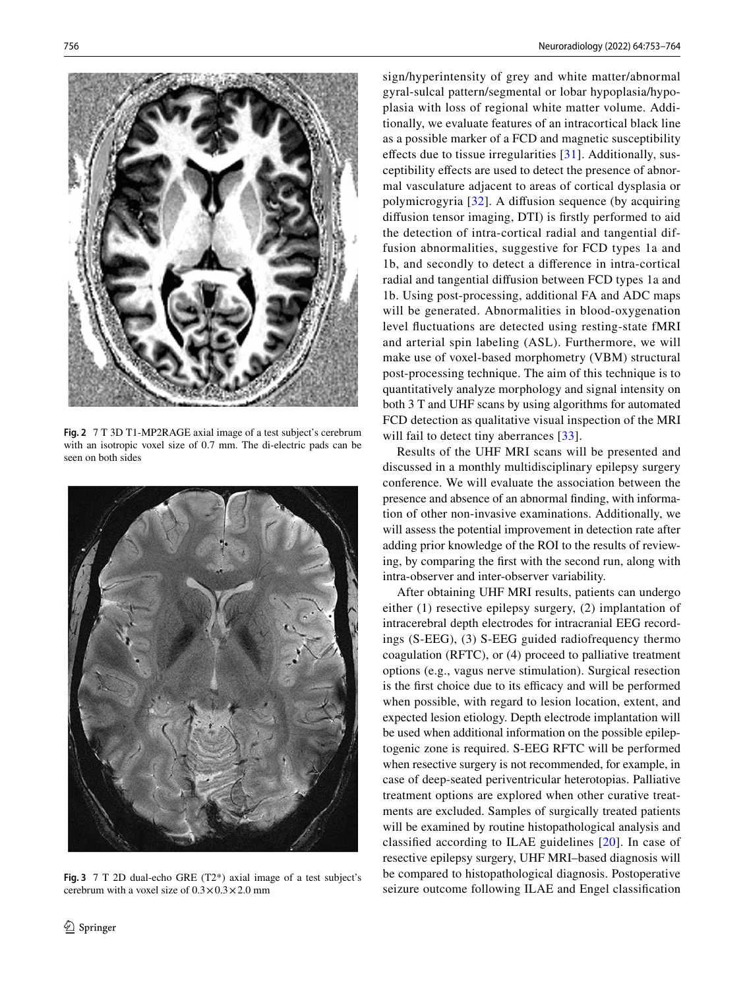

**Fig. 2** 7 T 3D T1-MP2RAGE axial image of a test subject's cerebrum with an isotropic voxel size of 0.7 mm. The di-electric pads can be seen on both sides

<span id="page-3-1"></span><span id="page-3-0"></span>

**Fig. 3** 7 T 2D dual-echo GRE (T2\*) axial image of a test subject's cerebrum with a voxel size of  $0.3 \times 0.3 \times 2.0$  mm

sign/hyperintensity of grey and white matter/abnormal gyral-sulcal pattern/segmental or lobar hypoplasia/hypoplasia with loss of regional white matter volume. Additionally, we evaluate features of an intracortical black line as a possible marker of a FCD and magnetic susceptibility effects due to tissue irregularities  $[31]$  $[31]$ . Additionally, susceptibility efects are used to detect the presence of abnormal vasculature adjacent to areas of cortical dysplasia or polymicrogyria [[32](#page-9-24)]. A difusion sequence (by acquiring difusion tensor imaging, DTI) is frstly performed to aid the detection of intra-cortical radial and tangential diffusion abnormalities, suggestive for FCD types 1a and 1b, and secondly to detect a diference in intra-cortical radial and tangential difusion between FCD types 1a and 1b. Using post-processing, additional FA and ADC maps will be generated. Abnormalities in blood-oxygenation level fuctuations are detected using resting-state fMRI and arterial spin labeling (ASL). Furthermore, we will make use of voxel-based morphometry (VBM) structural post-processing technique. The aim of this technique is to quantitatively analyze morphology and signal intensity on both 3 T and UHF scans by using algorithms for automated FCD detection as qualitative visual inspection of the MRI will fail to detect tiny aberrances [\[33\]](#page-9-25).

Results of the UHF MRI scans will be presented and discussed in a monthly multidisciplinary epilepsy surgery conference. We will evaluate the association between the presence and absence of an abnormal fnding, with information of other non-invasive examinations. Additionally, we will assess the potential improvement in detection rate after adding prior knowledge of the ROI to the results of reviewing, by comparing the frst with the second run, along with intra-observer and inter-observer variability.

After obtaining UHF MRI results, patients can undergo either (1) resective epilepsy surgery, (2) implantation of intracerebral depth electrodes for intracranial EEG recordings (S-EEG), (3) S-EEG guided radiofrequency thermo coagulation (RFTC), or (4) proceed to palliative treatment options (e.g., vagus nerve stimulation). Surgical resection is the first choice due to its efficacy and will be performed when possible, with regard to lesion location, extent, and expected lesion etiology. Depth electrode implantation will be used when additional information on the possible epileptogenic zone is required. S-EEG RFTC will be performed when resective surgery is not recommended, for example, in case of deep-seated periventricular heterotopias. Palliative treatment options are explored when other curative treatments are excluded. Samples of surgically treated patients will be examined by routine histopathological analysis and classifed according to ILAE guidelines [[20](#page-9-12)]. In case of resective epilepsy surgery, UHF MRI–based diagnosis will be compared to histopathological diagnosis. Postoperative seizure outcome following ILAE and Engel classifcation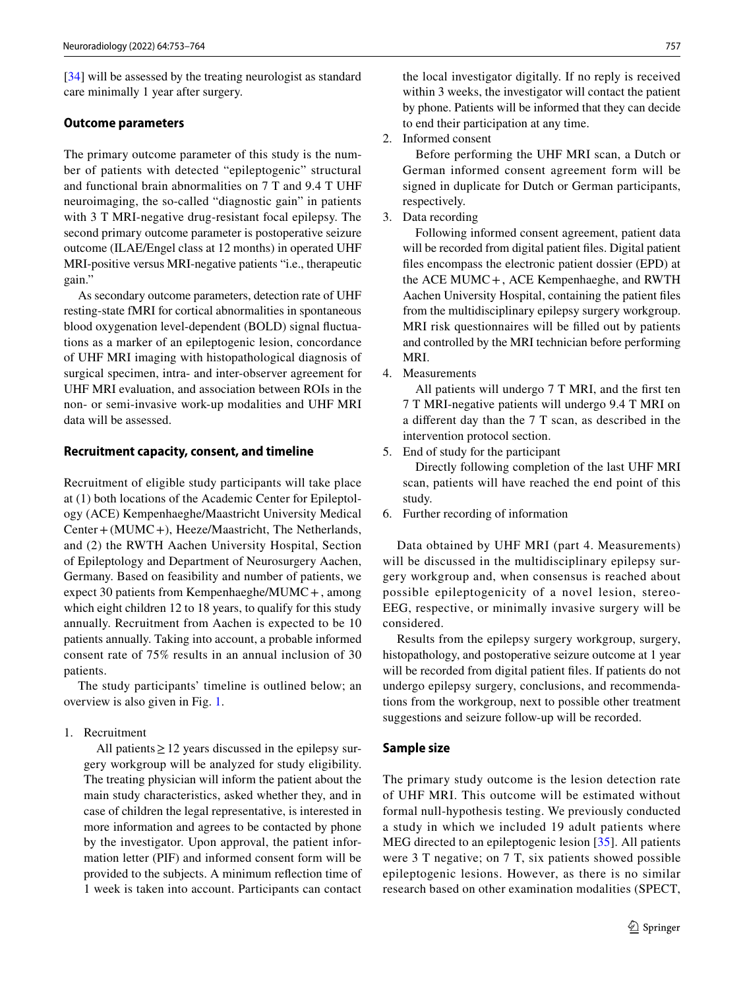[\[34](#page-9-26)] will be assessed by the treating neurologist as standard care minimally 1 year after surgery.

#### **Outcome parameters**

The primary outcome parameter of this study is the number of patients with detected "epileptogenic" structural and functional brain abnormalities on 7 T and 9.4 T UHF neuroimaging, the so-called "diagnostic gain" in patients with 3 T MRI-negative drug-resistant focal epilepsy. The second primary outcome parameter is postoperative seizure outcome (ILAE/Engel class at 12 months) in operated UHF MRI-positive versus MRI-negative patients "i.e., therapeutic gain."

As secondary outcome parameters, detection rate of UHF resting-state fMRI for cortical abnormalities in spontaneous blood oxygenation level-dependent (BOLD) signal fuctuations as a marker of an epileptogenic lesion, concordance of UHF MRI imaging with histopathological diagnosis of surgical specimen, intra- and inter-observer agreement for UHF MRI evaluation, and association between ROIs in the non- or semi-invasive work-up modalities and UHF MRI data will be assessed.

#### **Recruitment capacity, consent, and timeline**

Recruitment of eligible study participants will take place at (1) both locations of the Academic Center for Epileptology (ACE) Kempenhaeghe/Maastricht University Medical Center+(MUMC+), Heeze/Maastricht, The Netherlands, and (2) the RWTH Aachen University Hospital, Section of Epileptology and Department of Neurosurgery Aachen, Germany. Based on feasibility and number of patients, we expect 30 patients from Kempenhaeghe/MUMC+, among which eight children 12 to 18 years, to qualify for this study annually. Recruitment from Aachen is expected to be 10 patients annually. Taking into account, a probable informed consent rate of 75% results in an annual inclusion of 30 patients.

The study participants' timeline is outlined below; an overview is also given in Fig. [1.](#page-1-0)

# 1. Recruitment

All patients  $\geq$  12 years discussed in the epilepsy surgery workgroup will be analyzed for study eligibility. The treating physician will inform the patient about the main study characteristics, asked whether they, and in case of children the legal representative, is interested in more information and agrees to be contacted by phone by the investigator. Upon approval, the patient information letter (PIF) and informed consent form will be provided to the subjects. A minimum refection time of 1 week is taken into account. Participants can contact the local investigator digitally. If no reply is received within 3 weeks, the investigator will contact the patient by phone. Patients will be informed that they can decide to end their participation at any time.

2. Informed consent

Before performing the UHF MRI scan, a Dutch or German informed consent agreement form will be signed in duplicate for Dutch or German participants, respectively.

3. Data recording

Following informed consent agreement, patient data will be recorded from digital patient fles. Digital patient fles encompass the electronic patient dossier (EPD) at the ACE MUMC+, ACE Kempenhaeghe, and RWTH Aachen University Hospital, containing the patient fles from the multidisciplinary epilepsy surgery workgroup. MRI risk questionnaires will be flled out by patients and controlled by the MRI technician before performing MRI.

4. Measurements

All patients will undergo 7 T MRI, and the frst ten 7 T MRI-negative patients will undergo 9.4 T MRI on a diferent day than the 7 T scan, as described in the intervention protocol section.

5. End of study for the participant

Directly following completion of the last UHF MRI scan, patients will have reached the end point of this study.

6. Further recording of information

Data obtained by UHF MRI (part 4. Measurements) will be discussed in the multidisciplinary epilepsy surgery workgroup and, when consensus is reached about possible epileptogenicity of a novel lesion, stereo-EEG, respective, or minimally invasive surgery will be considered.

Results from the epilepsy surgery workgroup, surgery, histopathology, and postoperative seizure outcome at 1 year will be recorded from digital patient fles. If patients do not undergo epilepsy surgery, conclusions, and recommendations from the workgroup, next to possible other treatment suggestions and seizure follow-up will be recorded.

# **Sample size**

The primary study outcome is the lesion detection rate of UHF MRI. This outcome will be estimated without formal null-hypothesis testing. We previously conducted a study in which we included 19 adult patients where MEG directed to an epileptogenic lesion [[35](#page-9-27)]. All patients were 3 T negative; on 7 T, six patients showed possible epileptogenic lesions. However, as there is no similar research based on other examination modalities (SPECT,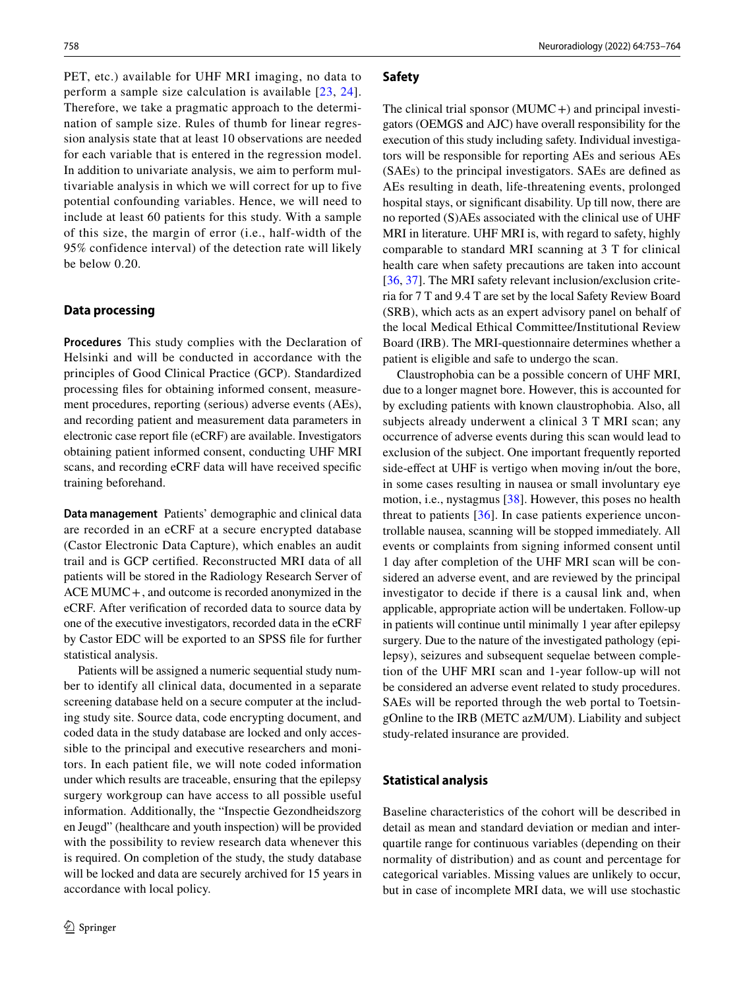PET, etc.) available for UHF MRI imaging, no data to perform a sample size calculation is available [[23](#page-9-15), [24\]](#page-9-16). Therefore, we take a pragmatic approach to the determination of sample size. Rules of thumb for linear regression analysis state that at least 10 observations are needed for each variable that is entered in the regression model. In addition to univariate analysis, we aim to perform multivariable analysis in which we will correct for up to five potential confounding variables. Hence, we will need to include at least 60 patients for this study. With a sample of this size, the margin of error (i.e., half-width of the 95% confidence interval) of the detection rate will likely be below 0.20.

# **Data processing**

**Procedures** This study complies with the Declaration of Helsinki and will be conducted in accordance with the principles of Good Clinical Practice (GCP). Standardized processing fles for obtaining informed consent, measurement procedures, reporting (serious) adverse events (AEs), and recording patient and measurement data parameters in electronic case report fle (eCRF) are available. Investigators obtaining patient informed consent, conducting UHF MRI scans, and recording eCRF data will have received specifc training beforehand.

**Data management** Patients' demographic and clinical data are recorded in an eCRF at a secure encrypted database (Castor Electronic Data Capture), which enables an audit trail and is GCP certifed. Reconstructed MRI data of all patients will be stored in the Radiology Research Server of ACE MUMC+, and outcome is recorded anonymized in the eCRF. After verifcation of recorded data to source data by one of the executive investigators, recorded data in the eCRF by Castor EDC will be exported to an SPSS fle for further statistical analysis.

Patients will be assigned a numeric sequential study number to identify all clinical data, documented in a separate screening database held on a secure computer at the including study site. Source data, code encrypting document, and coded data in the study database are locked and only accessible to the principal and executive researchers and monitors. In each patient fle, we will note coded information under which results are traceable, ensuring that the epilepsy surgery workgroup can have access to all possible useful information. Additionally, the "Inspectie Gezondheidszorg en Jeugd" (healthcare and youth inspection) will be provided with the possibility to review research data whenever this is required. On completion of the study, the study database will be locked and data are securely archived for 15 years in accordance with local policy.

# **Safety**

The clinical trial sponsor  $(MUMC+)$  and principal investigators (OEMGS and AJC) have overall responsibility for the execution of this study including safety. Individual investigators will be responsible for reporting AEs and serious AEs (SAEs) to the principal investigators. SAEs are defned as AEs resulting in death, life-threatening events, prolonged hospital stays, or signifcant disability. Up till now, there are no reported (S)AEs associated with the clinical use of UHF MRI in literature. UHF MRI is, with regard to safety, highly comparable to standard MRI scanning at 3 T for clinical health care when safety precautions are taken into account [[36,](#page-10-0) [37\]](#page-10-1). The MRI safety relevant inclusion/exclusion criteria for 7 T and 9.4 T are set by the local Safety Review Board (SRB), which acts as an expert advisory panel on behalf of the local Medical Ethical Committee/Institutional Review Board (IRB). The MRI-questionnaire determines whether a patient is eligible and safe to undergo the scan.

Claustrophobia can be a possible concern of UHF MRI, due to a longer magnet bore. However, this is accounted for by excluding patients with known claustrophobia. Also, all subjects already underwent a clinical 3 T MRI scan; any occurrence of adverse events during this scan would lead to exclusion of the subject. One important frequently reported side-effect at UHF is vertigo when moving in/out the bore, in some cases resulting in nausea or small involuntary eye motion, i.e., nystagmus [[38\]](#page-10-2). However, this poses no health threat to patients [[36](#page-10-0)]. In case patients experience uncontrollable nausea, scanning will be stopped immediately. All events or complaints from signing informed consent until 1 day after completion of the UHF MRI scan will be considered an adverse event, and are reviewed by the principal investigator to decide if there is a causal link and, when applicable, appropriate action will be undertaken. Follow-up in patients will continue until minimally 1 year after epilepsy surgery. Due to the nature of the investigated pathology (epilepsy), seizures and subsequent sequelae between completion of the UHF MRI scan and 1-year follow-up will not be considered an adverse event related to study procedures. SAEs will be reported through the web portal to ToetsingOnline to the IRB (METC azM/UM). Liability and subject study-related insurance are provided.

#### **Statistical analysis**

Baseline characteristics of the cohort will be described in detail as mean and standard deviation or median and interquartile range for continuous variables (depending on their normality of distribution) and as count and percentage for categorical variables. Missing values are unlikely to occur, but in case of incomplete MRI data, we will use stochastic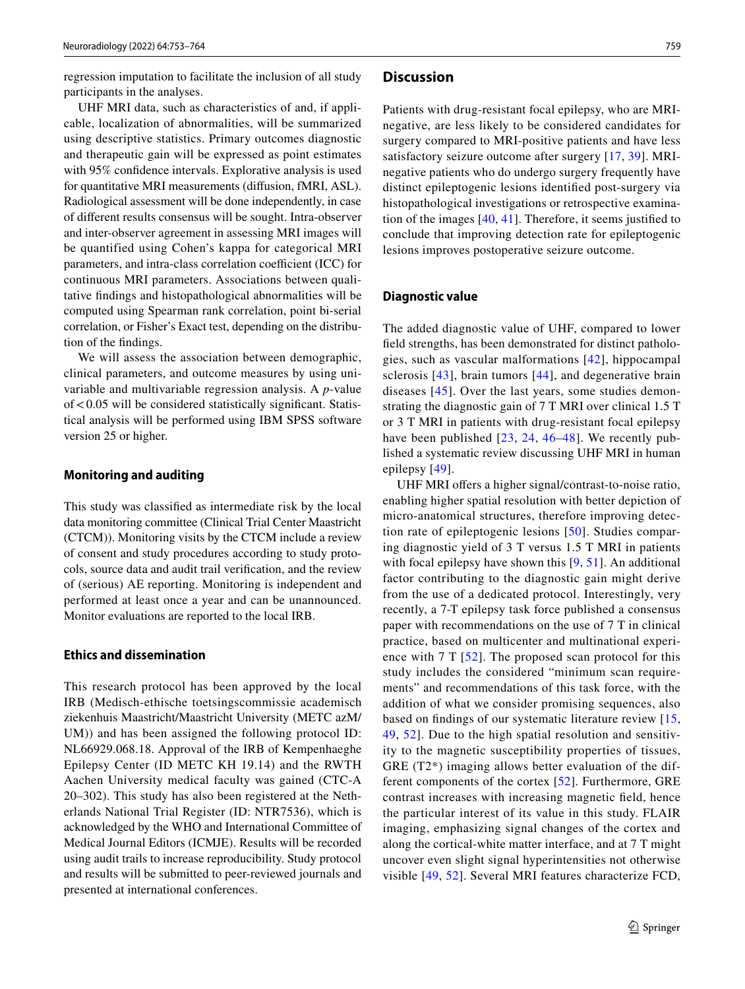regression imputation to facilitate the inclusion of all study participants in the analyses.

UHF MRI data, such as characteristics of and, if applicable, localization of abnormalities, will be summarized using descriptive statistics. Primary outcomes diagnostic and therapeutic gain will be expressed as point estimates with 95% confdence intervals. Explorative analysis is used for quantitative MRI measurements (difusion, fMRI, ASL). Radiological assessment will be done independently, in case of diferent results consensus will be sought. Intra-observer and inter-observer agreement in assessing MRI images will be quantified using Cohen's kappa for categorical MRI parameters, and intra-class correlation coefficient (ICC) for continuous MRI parameters. Associations between qualitative fndings and histopathological abnormalities will be computed using Spearman rank correlation, point bi-serial correlation, or Fisher's Exact test, depending on the distribution of the fndings.

We will assess the association between demographic, clinical parameters, and outcome measures by using univariable and multivariable regression analysis. A *p*-value  $of < 0.05$  will be considered statistically significant. Statistical analysis will be performed using IBM SPSS software version 25 or higher.

#### **Monitoring and auditing**

This study was classifed as intermediate risk by the local data monitoring committee (Clinical Trial Center Maastricht (CTCM)). Monitoring visits by the CTCM include a review of consent and study procedures according to study protocols, source data and audit trail verifcation, and the review of (serious) AE reporting. Monitoring is independent and performed at least once a year and can be unannounced. Monitor evaluations are reported to the local IRB.

# **Ethics and dissemination**

This research protocol has been approved by the local IRB (Medisch-ethische toetsingscommissie academisch ziekenhuis Maastricht/Maastricht University (METC azM/ UM)) and has been assigned the following protocol ID: NL66929.068.18. Approval of the IRB of Kempenhaeghe Epilepsy Center (ID METC KH 19.14) and the RWTH Aachen University medical faculty was gained (CTC-A 20–302). This study has also been registered at the Netherlands National Trial Register (ID: NTR7536), which is acknowledged by the WHO and International Committee of Medical Journal Editors (ICMJE). Results will be recorded using audit trails to increase reproducibility. Study protocol and results will be submitted to peer-reviewed journals and presented at international conferences.

# **Discussion**

Patients with drug-resistant focal epilepsy, who are MRInegative, are less likely to be considered candidates for surgery compared to MRI-positive patients and have less satisfactory seizure outcome after surgery [[17](#page-9-9), [39\]](#page-10-3). MRInegative patients who do undergo surgery frequently have distinct epileptogenic lesions identifed post-surgery via histopathological investigations or retrospective examination of the images [[40,](#page-10-4) [41](#page-10-5)]. Therefore, it seems justifed to conclude that improving detection rate for epileptogenic lesions improves postoperative seizure outcome.

#### **Diagnostic value**

The added diagnostic value of UHF, compared to lower feld strengths, has been demonstrated for distinct pathologies, such as vascular malformations [[42\]](#page-10-6), hippocampal sclerosis [[43](#page-10-7)], brain tumors [[44](#page-10-8)], and degenerative brain diseases [[45](#page-10-9)]. Over the last years, some studies demonstrating the diagnostic gain of 7 T MRI over clinical 1.5 T or 3 T MRI in patients with drug-resistant focal epilepsy have been published [[23](#page-9-15), [24,](#page-9-16) [46–](#page-10-10)[48\]](#page-10-11). We recently published a systematic review discussing UHF MRI in human epilepsy [[49](#page-10-12)].

UHF MRI offers a higher signal/contrast-to-noise ratio, enabling higher spatial resolution with better depiction of micro-anatomical structures, therefore improving detection rate of epileptogenic lesions [[50](#page-10-13)]. Studies comparing diagnostic yield of 3 T versus 1.5 T MRI in patients with focal epilepsy have shown this [[9,](#page-9-3) [51](#page-10-14)]. An additional factor contributing to the diagnostic gain might derive from the use of a dedicated protocol. Interestingly, very recently, a 7-T epilepsy task force published a consensus paper with recommendations on the use of 7 T in clinical practice, based on multicenter and multinational experience with 7 T [[52\]](#page-10-15). The proposed scan protocol for this study includes the considered "minimum scan requirements" and recommendations of this task force, with the addition of what we consider promising sequences, also based on fndings of our systematic literature review [\[15,](#page-9-7) [49,](#page-10-12) [52](#page-10-15)]. Due to the high spatial resolution and sensitivity to the magnetic susceptibility properties of tissues, GRE (T2\*) imaging allows better evaluation of the different components of the cortex [\[52\]](#page-10-15). Furthermore, GRE contrast increases with increasing magnetic feld, hence the particular interest of its value in this study. FLAIR imaging, emphasizing signal changes of the cortex and along the cortical-white matter interface, and at 7 T might uncover even slight signal hyperintensities not otherwise visible [[49,](#page-10-12) [52](#page-10-15)]. Several MRI features characterize FCD,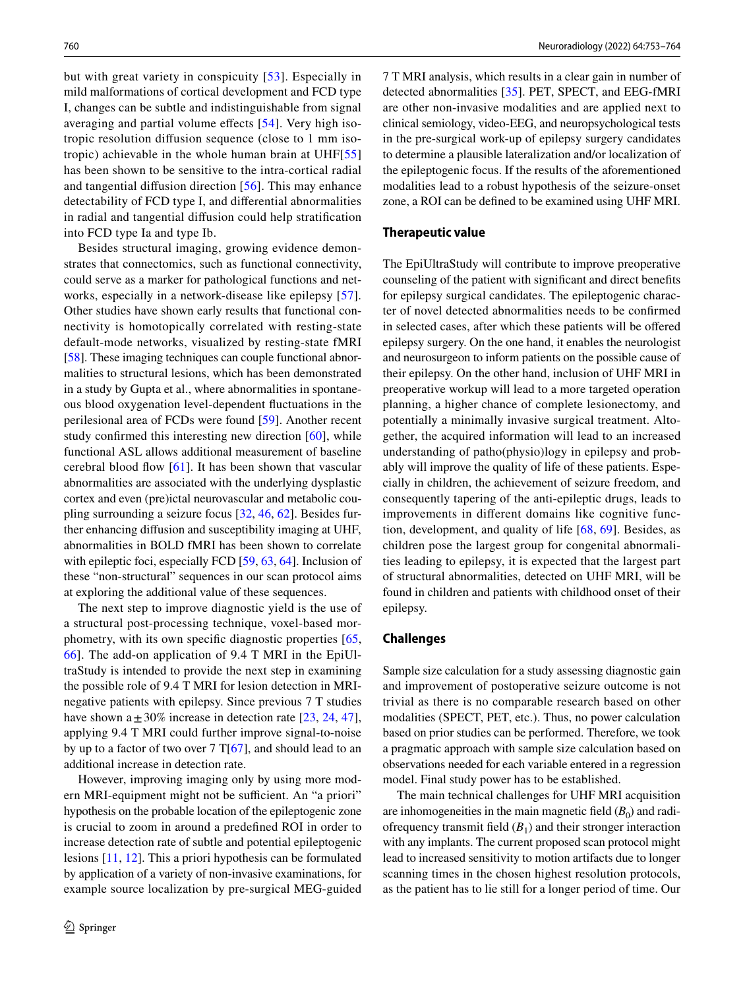but with great variety in conspicuity [[53](#page-10-16)]. Especially in mild malformations of cortical development and FCD type I, changes can be subtle and indistinguishable from signal averaging and partial volume effects [[54\]](#page-10-17). Very high isotropic resolution difusion sequence (close to 1 mm isotropic) achievable in the whole human brain at UHF[\[55\]](#page-10-18) has been shown to be sensitive to the intra-cortical radial and tangential difusion direction [[56](#page-10-19)]. This may enhance detectability of FCD type I, and diferential abnormalities in radial and tangential difusion could help stratifcation into FCD type Ia and type Ib.

Besides structural imaging, growing evidence demonstrates that connectomics, such as functional connectivity, could serve as a marker for pathological functions and networks, especially in a network-disease like epilepsy [[57](#page-10-20)]. Other studies have shown early results that functional connectivity is homotopically correlated with resting-state default-mode networks, visualized by resting-state fMRI [\[58](#page-10-21)]. These imaging techniques can couple functional abnormalities to structural lesions, which has been demonstrated in a study by Gupta et al., where abnormalities in spontaneous blood oxygenation level-dependent fuctuations in the perilesional area of FCDs were found [[59\]](#page-10-22). Another recent study confrmed this interesting new direction [\[60\]](#page-10-23), while functional ASL allows additional measurement of baseline cerebral blood fow [\[61\]](#page-10-24). It has been shown that vascular abnormalities are associated with the underlying dysplastic cortex and even (pre)ictal neurovascular and metabolic coupling surrounding a seizure focus [[32,](#page-9-24) [46,](#page-10-10) [62\]](#page-10-25). Besides further enhancing difusion and susceptibility imaging at UHF, abnormalities in BOLD fMRI has been shown to correlate with epileptic foci, especially FCD [\[59](#page-10-22), [63,](#page-10-26) [64\]](#page-10-27). Inclusion of these "non-structural" sequences in our scan protocol aims at exploring the additional value of these sequences.

The next step to improve diagnostic yield is the use of a structural post-processing technique, voxel-based morphometry, with its own specifc diagnostic properties [\[65,](#page-10-28) [66](#page-11-0)]. The add-on application of 9.4 T MRI in the EpiUltraStudy is intended to provide the next step in examining the possible role of 9.4 T MRI for lesion detection in MRInegative patients with epilepsy. Since previous 7 T studies have shown a  $\pm$  30% increase in detection rate [[23,](#page-9-15) [24,](#page-9-16) [47](#page-10-29)], applying 9.4 T MRI could further improve signal-to-noise by up to a factor of two over  $7 T[67]$  $7 T[67]$ , and should lead to an additional increase in detection rate.

However, improving imaging only by using more modern MRI-equipment might not be sufficient. An "a priori" hypothesis on the probable location of the epileptogenic zone is crucial to zoom in around a predefned ROI in order to increase detection rate of subtle and potential epileptogenic lesions [[11](#page-9-4), [12](#page-9-28)]. This a priori hypothesis can be formulated by application of a variety of non-invasive examinations, for example source localization by pre-surgical MEG-guided 7 T MRI analysis, which results in a clear gain in number of detected abnormalities [\[35](#page-9-27)]. PET, SPECT, and EEG-fMRI are other non-invasive modalities and are applied next to clinical semiology, video-EEG, and neuropsychological tests in the pre-surgical work-up of epilepsy surgery candidates to determine a plausible lateralization and/or localization of the epileptogenic focus. If the results of the aforementioned modalities lead to a robust hypothesis of the seizure-onset zone, a ROI can be defned to be examined using UHF MRI.

#### **Therapeutic value**

The EpiUltraStudy will contribute to improve preoperative counseling of the patient with signifcant and direct benefts for epilepsy surgical candidates. The epileptogenic character of novel detected abnormalities needs to be confrmed in selected cases, after which these patients will be ofered epilepsy surgery. On the one hand, it enables the neurologist and neurosurgeon to inform patients on the possible cause of their epilepsy. On the other hand, inclusion of UHF MRI in preoperative workup will lead to a more targeted operation planning, a higher chance of complete lesionectomy, and potentially a minimally invasive surgical treatment. Altogether, the acquired information will lead to an increased understanding of patho(physio)logy in epilepsy and probably will improve the quality of life of these patients. Especially in children, the achievement of seizure freedom, and consequently tapering of the anti-epileptic drugs, leads to improvements in diferent domains like cognitive function, development, and quality of life [\[68](#page-11-2), [69\]](#page-11-3). Besides, as children pose the largest group for congenital abnormalities leading to epilepsy, it is expected that the largest part of structural abnormalities, detected on UHF MRI, will be found in children and patients with childhood onset of their epilepsy.

#### **Challenges**

Sample size calculation for a study assessing diagnostic gain and improvement of postoperative seizure outcome is not trivial as there is no comparable research based on other modalities (SPECT, PET, etc.). Thus, no power calculation based on prior studies can be performed. Therefore, we took a pragmatic approach with sample size calculation based on observations needed for each variable entered in a regression model. Final study power has to be established.

The main technical challenges for UHF MRI acquisition are inhomogeneities in the main magnetic field  $(B_0)$  and radiofrequency transmit field  $(B_1)$  and their stronger interaction with any implants. The current proposed scan protocol might lead to increased sensitivity to motion artifacts due to longer scanning times in the chosen highest resolution protocols, as the patient has to lie still for a longer period of time. Our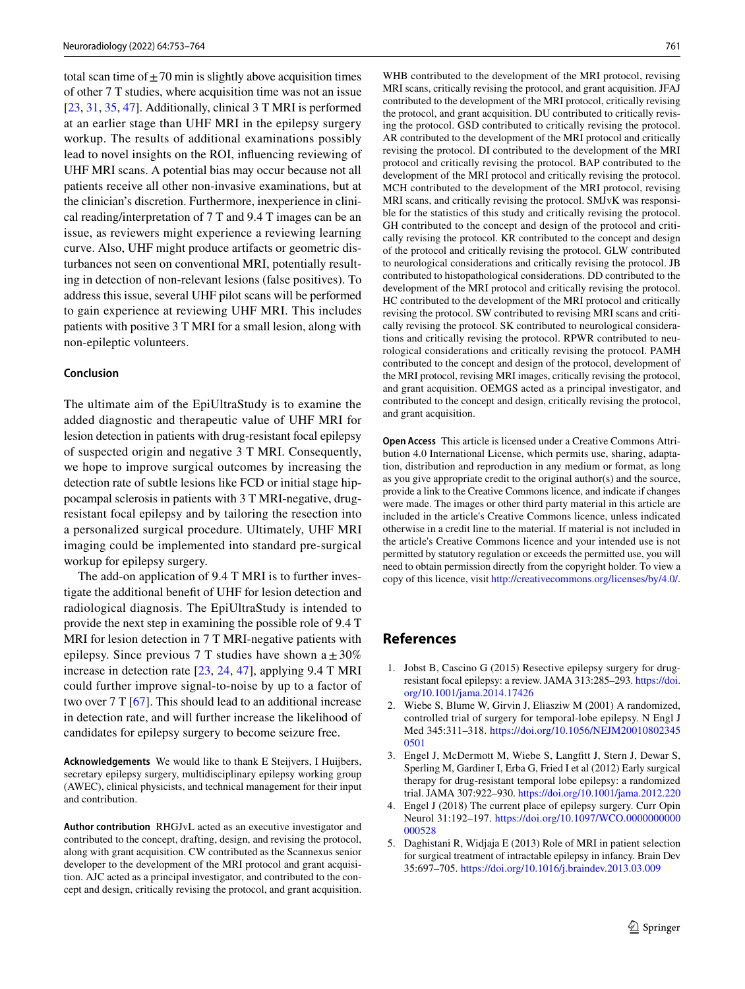total scan time of  $\pm$  70 min is slightly above acquisition times of other 7 T studies, where acquisition time was not an issue [\[23](#page-9-15), [31,](#page-9-23) [35,](#page-9-27) [47](#page-10-29)]. Additionally, clinical 3 T MRI is performed at an earlier stage than UHF MRI in the epilepsy surgery workup. The results of additional examinations possibly lead to novel insights on the ROI, infuencing reviewing of UHF MRI scans. A potential bias may occur because not all patients receive all other non-invasive examinations, but at the clinician's discretion. Furthermore, inexperience in clinical reading/interpretation of 7 T and 9.4 T images can be an issue, as reviewers might experience a reviewing learning curve. Also, UHF might produce artifacts or geometric disturbances not seen on conventional MRI, potentially resulting in detection of non-relevant lesions (false positives). To address this issue, several UHF pilot scans will be performed to gain experience at reviewing UHF MRI. This includes patients with positive 3 T MRI for a small lesion, along with non-epileptic volunteers.

#### **Conclusion**

The ultimate aim of the EpiUltraStudy is to examine the added diagnostic and therapeutic value of UHF MRI for lesion detection in patients with drug-resistant focal epilepsy of suspected origin and negative 3 T MRI. Consequently, we hope to improve surgical outcomes by increasing the detection rate of subtle lesions like FCD or initial stage hippocampal sclerosis in patients with 3 T MRI-negative, drugresistant focal epilepsy and by tailoring the resection into a personalized surgical procedure. Ultimately, UHF MRI imaging could be implemented into standard pre-surgical workup for epilepsy surgery.

The add-on application of 9.4 T MRI is to further investigate the additional beneft of UHF for lesion detection and radiological diagnosis. The EpiUltraStudy is intended to provide the next step in examining the possible role of 9.4 T MRI for lesion detection in 7 T MRI-negative patients with epilepsy. Since previous 7 T studies have shown  $a \pm 30\%$ increase in detection rate [\[23,](#page-9-15) [24,](#page-9-16) [47](#page-10-29)], applying 9.4 T MRI could further improve signal-to-noise by up to a factor of two over 7 T [[67\]](#page-11-1). This should lead to an additional increase in detection rate, and will further increase the likelihood of candidates for epilepsy surgery to become seizure free.

**Acknowledgements** We would like to thank E Steijvers, I Huijbers, secretary epilepsy surgery, multidisciplinary epilepsy working group (AWEC), clinical physicists, and technical management for their input and contribution.

**Author contribution** RHGJvL acted as an executive investigator and contributed to the concept, drafting, design, and revising the protocol, along with grant acquisition. CW contributed as the Scannexus senior developer to the development of the MRI protocol and grant acquisition. AJC acted as a principal investigator, and contributed to the concept and design, critically revising the protocol, and grant acquisition.

WHB contributed to the development of the MRI protocol, revising MRI scans, critically revising the protocol, and grant acquisition. JFAJ contributed to the development of the MRI protocol, critically revising the protocol, and grant acquisition. DU contributed to critically revising the protocol. GSD contributed to critically revising the protocol. AR contributed to the development of the MRI protocol and critically revising the protocol. DI contributed to the development of the MRI protocol and critically revising the protocol. BAP contributed to the development of the MRI protocol and critically revising the protocol. MCH contributed to the development of the MRI protocol, revising MRI scans, and critically revising the protocol. SMJvK was responsible for the statistics of this study and critically revising the protocol. GH contributed to the concept and design of the protocol and critically revising the protocol. KR contributed to the concept and design of the protocol and critically revising the protocol. GLW contributed to neurological considerations and critically revising the protocol. JB contributed to histopathological considerations. DD contributed to the development of the MRI protocol and critically revising the protocol. HC contributed to the development of the MRI protocol and critically revising the protocol. SW contributed to revising MRI scans and critically revising the protocol. SK contributed to neurological considerations and critically revising the protocol. RPWR contributed to neurological considerations and critically revising the protocol. PAMH contributed to the concept and design of the protocol, development of the MRI protocol, revising MRI images, critically revising the protocol, and grant acquisition. OEMGS acted as a principal investigator, and contributed to the concept and design, critically revising the protocol, and grant acquisition.

**Open Access** This article is licensed under a Creative Commons Attribution 4.0 International License, which permits use, sharing, adaptation, distribution and reproduction in any medium or format, as long as you give appropriate credit to the original author(s) and the source, provide a link to the Creative Commons licence, and indicate if changes were made. The images or other third party material in this article are included in the article's Creative Commons licence, unless indicated otherwise in a credit line to the material. If material is not included in the article's Creative Commons licence and your intended use is not permitted by statutory regulation or exceeds the permitted use, you will need to obtain permission directly from the copyright holder. To view a copy of this licence, visit<http://creativecommons.org/licenses/by/4.0/>.

# **References**

- <span id="page-8-0"></span>1. Jobst B, Cascino G (2015) Resective epilepsy surgery for drugresistant focal epilepsy: a review. JAMA 313:285–293. [https://doi.](https://doi.org/10.1001/jama.2014.17426) [org/10.1001/jama.2014.17426](https://doi.org/10.1001/jama.2014.17426)
- <span id="page-8-1"></span>2. Wiebe S, Blume W, Girvin J, Eliasziw M (2001) A randomized, controlled trial of surgery for temporal-lobe epilepsy. N Engl J Med 345:311–318. [https://doi.org/10.1056/NEJM20010802345](https://doi.org/10.1056/NEJM200108023450501) [0501](https://doi.org/10.1056/NEJM200108023450501)
- 3. Engel J, McDermott M, Wiebe S, Langftt J, Stern J, Dewar S, Sperling M, Gardiner I, Erba G, Fried I et al (2012) Early surgical therapy for drug-resistant temporal lobe epilepsy: a randomized trial. JAMA 307:922–930.<https://doi.org/10.1001/jama.2012.220>
- <span id="page-8-2"></span>4. Engel J (2018) The current place of epilepsy surgery. Curr Opin Neurol 31:192–197. [https://doi.org/10.1097/WCO.0000000000](https://doi.org/10.1097/WCO.0000000000000528) [000528](https://doi.org/10.1097/WCO.0000000000000528)
- <span id="page-8-3"></span>5. Daghistani R, Widjaja E (2013) Role of MRI in patient selection for surgical treatment of intractable epilepsy in infancy. Brain Dev 35:697–705.<https://doi.org/10.1016/j.braindev.2013.03.009>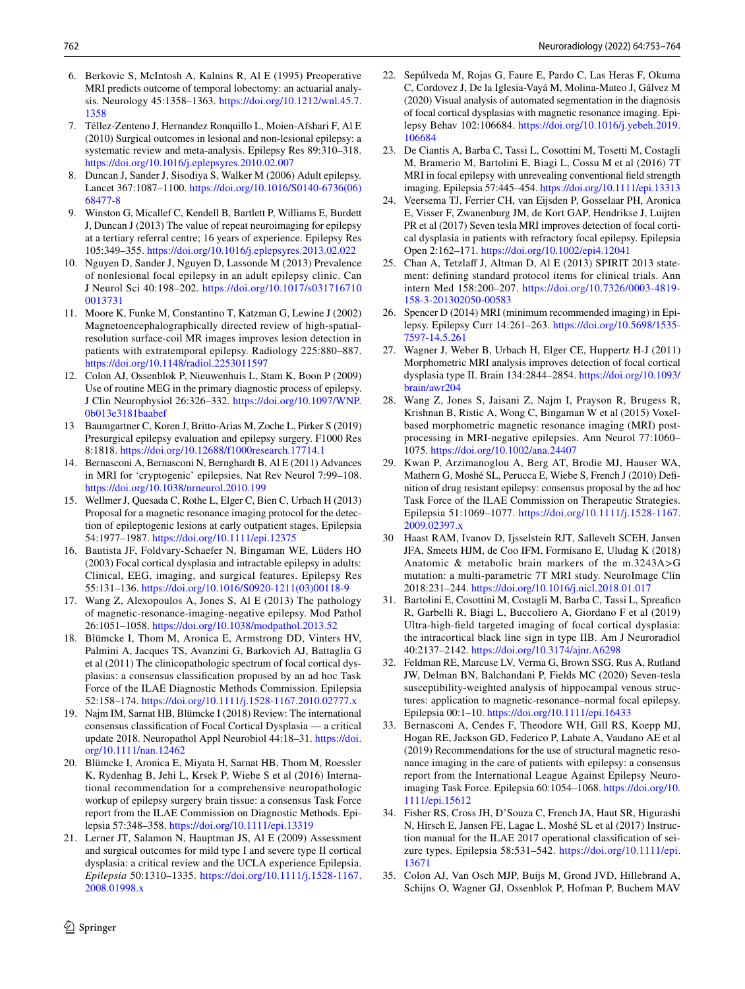- 6. Berkovic S, McIntosh A, Kalnins R, Al E (1995) Preoperative MRI predicts outcome of temporal lobectomy: an actuarial analysis. Neurology 45:1358–1363. [https://doi.org/10.1212/wnl.45.7.](https://doi.org/10.1212/wnl.45.7.1358) [1358](https://doi.org/10.1212/wnl.45.7.1358)
- <span id="page-9-0"></span>7. Téllez-Zenteno J, Hernandez Ronquillo L, Moien-Afshari F, Al E (2010) Surgical outcomes in lesional and non-lesional epilepsy: a systematic review and meta-analysis. Epilepsy Res 89:310–318. <https://doi.org/10.1016/j.eplepsyres.2010.02.007>
- <span id="page-9-1"></span>8. Duncan J, Sander J, Sisodiya S, Walker M (2006) Adult epilepsy. Lancet 367:1087–1100. [https://doi.org/10.1016/S0140-6736\(06\)](https://doi.org/10.1016/S0140-6736(06)68477-8) [68477-8](https://doi.org/10.1016/S0140-6736(06)68477-8)
- <span id="page-9-3"></span>9. Winston G, Micallef C, Kendell B, Bartlett P, Williams E, Burdett J, Duncan J (2013) The value of repeat neuroimaging for epilepsy at a tertiary referral centre; 16 years of experience. Epilepsy Res 105:349–355. <https://doi.org/10.1016/j.eplepsyres.2013.02.022>
- <span id="page-9-2"></span>10. Nguyen D, Sander J, Nguyen D, Lassonde M (2013) Prevalence of nonlesional focal epilepsy in an adult epilepsy clinic. Can J Neurol Sci 40:198–202. [https://doi.org/10.1017/s031716710](https://doi.org/10.1017/s0317167100013731) [0013731](https://doi.org/10.1017/s0317167100013731)
- <span id="page-9-4"></span>11. Moore K, Funke M, Constantino T, Katzman G, Lewine J (2002) Magnetoencephalographically directed review of high-spatialresolution surface-coil MR images improves lesion detection in patients with extratemporal epilepsy. Radiology 225:880–887. <https://doi.org/10.1148/radiol.2253011597>
- <span id="page-9-28"></span>12. Colon AJ, Ossenblok P, Nieuwenhuis L, Stam K, Boon P (2009) Use of routine MEG in the primary diagnostic process of epilepsy. J Clin Neurophysiol 26:326–332. [https://doi.org/10.1097/WNP.](https://doi.org/10.1097/WNP.0b013e3181baabef) [0b013e3181baabef](https://doi.org/10.1097/WNP.0b013e3181baabef)
- <span id="page-9-5"></span>13 Baumgartner C, Koren J, Britto-Arias M, Zoche L, Pirker S (2019) Presurgical epilepsy evaluation and epilepsy surgery. F1000 Res 8:1818.<https://doi.org/10.12688/f1000research.17714.1>
- <span id="page-9-6"></span>14. Bernasconi A, Bernasconi N, Bernghardt B, Al E (2011) Advances in MRI for 'cryptogenic' epilepsies. Nat Rev Neurol 7:99–108. <https://doi.org/10.1038/nrneurol.2010.199>
- <span id="page-9-7"></span>15. Wellmer J, Quesada C, Rothe L, Elger C, Bien C, Urbach H (2013) Proposal for a magnetic resonance imaging protocol for the detection of epileptogenic lesions at early outpatient stages. Epilepsia 54:1977–1987. <https://doi.org/10.1111/epi.12375>
- <span id="page-9-8"></span>16. Bautista JF, Foldvary-Schaefer N, Bingaman WE, Lüders HO (2003) Focal cortical dysplasia and intractable epilepsy in adults: Clinical, EEG, imaging, and surgical features. Epilepsy Res 55:131–136. [https://doi.org/10.1016/S0920-1211\(03\)00118-9](https://doi.org/10.1016/S0920-1211(03)00118-9)
- <span id="page-9-9"></span>17. Wang Z, Alexopoulos A, Jones S, Al E (2013) The pathology of magnetic-resonance-imaging-negative epilepsy. Mod Pathol 26:1051–1058. <https://doi.org/10.1038/modpathol.2013.52>
- <span id="page-9-10"></span>18. Blümcke I, Thom M, Aronica E, Armstrong DD, Vinters HV, Palmini A, Jacques TS, Avanzini G, Barkovich AJ, Battaglia G et al (2011) The clinicopathologic spectrum of focal cortical dysplasias: a consensus classifcation proposed by an ad hoc Task Force of the ILAE Diagnostic Methods Commission. Epilepsia 52:158–174.<https://doi.org/10.1111/j.1528-1167.2010.02777.x>
- <span id="page-9-11"></span>19. Najm IM, Sarnat HB, Blümcke I (2018) Review: The international consensus classifcation of Focal Cortical Dysplasia — a critical update 2018. Neuropathol Appl Neurobiol 44:18–31. [https://doi.](https://doi.org/10.1111/nan.12462) [org/10.1111/nan.12462](https://doi.org/10.1111/nan.12462)
- <span id="page-9-12"></span>20. Blümcke I, Aronica E, Miyata H, Sarnat HB, Thom M, Roessler K, Rydenhag B, Jehi L, Krsek P, Wiebe S et al (2016) International recommendation for a comprehensive neuropathologic workup of epilepsy surgery brain tissue: a consensus Task Force report from the ILAE Commission on Diagnostic Methods. Epilepsia 57:348–358.<https://doi.org/10.1111/epi.13319>
- <span id="page-9-13"></span>21. Lerner JT, Salamon N, Hauptman JS, Al E (2009) Assessment and surgical outcomes for mild type I and severe type II cortical dysplasia: a critical review and the UCLA experience Epilepsia. *Epilepsia* 50:1310–1335. [https://doi.org/10.1111/j.1528-1167.](https://doi.org/10.1111/j.1528-1167.2008.01998.x) [2008.01998.x](https://doi.org/10.1111/j.1528-1167.2008.01998.x)
- <span id="page-9-14"></span>22. Sepúlveda M, Rojas G, Faure E, Pardo C, Las Heras F, Okuma C, Cordovez J, De la Iglesia-Vayá M, Molina-Mateo J, Gálvez M (2020) Visual analysis of automated segmentation in the diagnosis of focal cortical dysplasias with magnetic resonance imaging. Epilepsy Behav 102:106684. [https://doi.org/10.1016/j.yebeh.2019.](https://doi.org/10.1016/j.yebeh.2019.106684) [106684](https://doi.org/10.1016/j.yebeh.2019.106684)
- <span id="page-9-15"></span>23. De Ciantis A, Barba C, Tassi L, Cosottini M, Tosetti M, Costagli M, Bramerio M, Bartolini E, Biagi L, Cossu M et al (2016) 7T MRI in focal epilepsy with unrevealing conventional feld strength imaging. Epilepsia 57:445–454.<https://doi.org/10.1111/epi.13313>
- <span id="page-9-16"></span>24. Veersema TJ, Ferrier CH, van Eijsden P, Gosselaar PH, Aronica E, Visser F, Zwanenburg JM, de Kort GAP, Hendrikse J, Luijten PR et al (2017) Seven tesla MRI improves detection of focal cortical dysplasia in patients with refractory focal epilepsy. Epilepsia Open 2:162–171. <https://doi.org/10.1002/epi4.12041>
- <span id="page-9-17"></span>25. Chan A, Tetzlaff J, Altman D, Al E (2013) SPIRIT 2013 statement: defning standard protocol items for clinical trials. Ann intern Med 158:200–207. [https://doi.org/10.7326/0003-4819-](https://doi.org/10.7326/0003-4819-158-3-201302050-00583) [158-3-201302050-00583](https://doi.org/10.7326/0003-4819-158-3-201302050-00583)
- <span id="page-9-18"></span>26. Spencer D (2014) MRI (minimum recommended imaging) in Epilepsy. Epilepsy Curr 14:261–263. [https://doi.org/10.5698/1535-](https://doi.org/10.5698/1535-7597-14.5.261) [7597-14.5.261](https://doi.org/10.5698/1535-7597-14.5.261)
- <span id="page-9-19"></span>27. Wagner J, Weber B, Urbach H, Elger CE, Huppertz H-J (2011) Morphometric MRI analysis improves detection of focal cortical dysplasia type II. Brain 134:2844–2854. [https://doi.org/10.1093/](https://doi.org/10.1093/brain/awr204) [brain/awr204](https://doi.org/10.1093/brain/awr204)
- <span id="page-9-20"></span>28. Wang Z, Jones S, Jaisani Z, Najm I, Prayson R, Brugess R, Krishnan B, Ristic A, Wong C, Bingaman W et al (2015) Voxelbased morphometric magnetic resonance imaging (MRI) postprocessing in MRI-negative epilepsies. Ann Neurol 77:1060– 1075. <https://doi.org/10.1002/ana.24407>
- <span id="page-9-21"></span>29. Kwan P, Arzimanoglou A, Berg AT, Brodie MJ, Hauser WA, Mathern G, Moshé SL, Perucca E, Wiebe S, French J (2010) Defnition of drug resistant epilepsy: consensus proposal by the ad hoc Task Force of the ILAE Commission on Therapeutic Strategies. Epilepsia 51:1069–1077. [https://doi.org/10.1111/j.1528-1167.](https://doi.org/10.1111/j.1528-1167.2009.02397.x) [2009.02397.x](https://doi.org/10.1111/j.1528-1167.2009.02397.x)
- <span id="page-9-22"></span>30 Haast RAM, Ivanov D, Ijsselstein RJT, Sallevelt SCEH, Jansen JFA, Smeets HJM, de Coo IFM, Formisano E, Uludag K (2018) Anatomic & metabolic brain markers of the m.3243A>G mutation: a multi-parametric 7T MRI study. NeuroImage Clin 2018:231–244.<https://doi.org/10.1016/j.nicl.2018.01.017>
- <span id="page-9-23"></span>31. Bartolini E, Cosottini M, Costagli M, Barba C, Tassi L, Spreafco R, Garbelli R, Biagi L, Buccoliero A, Giordano F et al (2019) Ultra-high-feld targeted imaging of focal cortical dysplasia: the intracortical black line sign in type IIB. Am J Neuroradiol 40:2137–2142.<https://doi.org/10.3174/ajnr.A6298>
- <span id="page-9-24"></span>32. Feldman RE, Marcuse LV, Verma G, Brown SSG, Rus A, Rutland JW, Delman BN, Balchandani P, Fields MC (2020) Seven-tesla susceptibility-weighted analysis of hippocampal venous structures: application to magnetic-resonance–normal focal epilepsy. Epilepsia 00:1–10. <https://doi.org/10.1111/epi.16433>
- <span id="page-9-25"></span>33. Bernasconi A, Cendes F, Theodore WH, Gill RS, Koepp MJ, Hogan RE, Jackson GD, Federico P, Labate A, Vaudano AE et al (2019) Recommendations for the use of structural magnetic resonance imaging in the care of patients with epilepsy: a consensus report from the International League Against Epilepsy Neuroimaging Task Force. Epilepsia 60:1054–1068. [https://doi.org/10.](https://doi.org/10.1111/epi.15612) [1111/epi.15612](https://doi.org/10.1111/epi.15612)
- <span id="page-9-26"></span>34. Fisher RS, Cross JH, D'Souza C, French JA, Haut SR, Higurashi N, Hirsch E, Jansen FE, Lagae L, Moshé SL et al (2017) Instruction manual for the ILAE 2017 operational classifcation of seizure types. Epilepsia 58:531–542. [https://doi.org/10.1111/epi.](https://doi.org/10.1111/epi.13671) [13671](https://doi.org/10.1111/epi.13671)
- <span id="page-9-27"></span>35. Colon AJ, Van Osch MJP, Buijs M, Grond JVD, Hillebrand A, Schijns O, Wagner GJ, Ossenblok P, Hofman P, Buchem MAV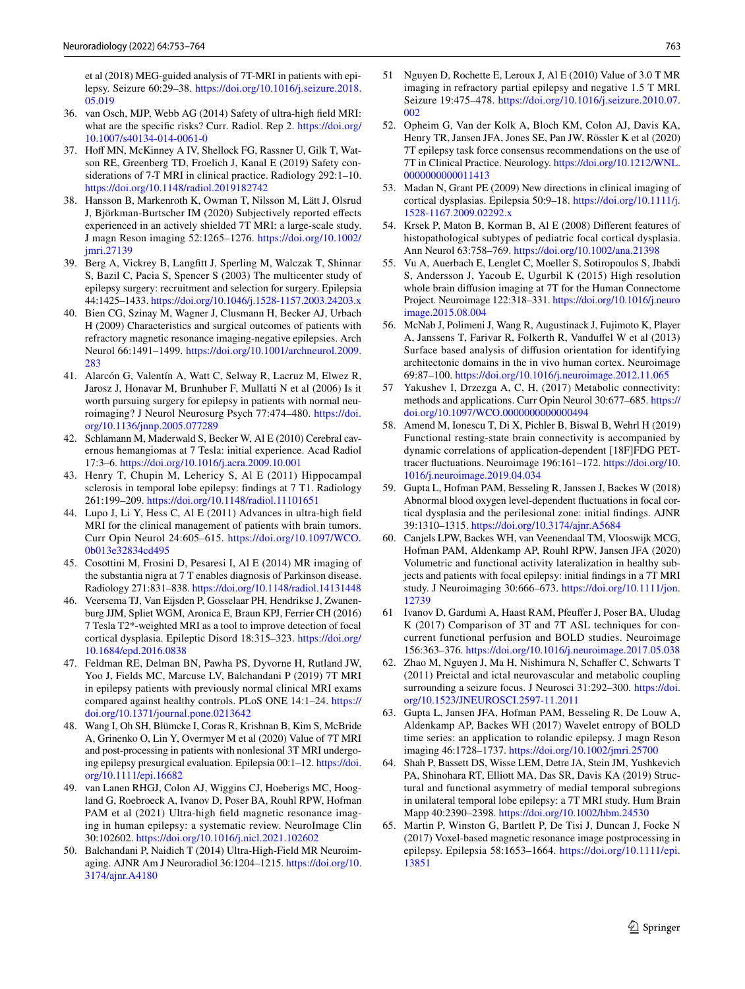et al (2018) MEG-guided analysis of 7T-MRI in patients with epilepsy. Seizure 60:29–38. [https://doi.org/10.1016/j.seizure.2018.](https://doi.org/10.1016/j.seizure.2018.05.019) [05.019](https://doi.org/10.1016/j.seizure.2018.05.019)

- <span id="page-10-0"></span>36. van Osch, MJP, Webb AG (2014) Safety of ultra-high feld MRI: what are the specifc risks? Curr. Radiol. Rep 2. [https://doi.org/](https://doi.org/10.1007/s40134-014-0061-0) [10.1007/s40134-014-0061-0](https://doi.org/10.1007/s40134-014-0061-0)
- <span id="page-10-1"></span>37. Hoff MN, McKinney A IV, Shellock FG, Rassner U, Gilk T, Watson RE, Greenberg TD, Froelich J, Kanal E (2019) Safety considerations of 7-T MRI in clinical practice. Radiology 292:1–10. <https://doi.org/10.1148/radiol.2019182742>
- <span id="page-10-2"></span>38. Hansson B, Markenroth K, Owman T, Nilsson M, Lätt J, Olsrud J, Björkman-Burtscher IM (2020) Subjectively reported efects experienced in an actively shielded 7T MRI: a large-scale study. J magn Reson imaging 52:1265–1276. [https://doi.org/10.1002/](https://doi.org/10.1002/jmri.27139) [jmri.27139](https://doi.org/10.1002/jmri.27139)
- <span id="page-10-3"></span>39. Berg A, Vickrey B, Langftt J, Sperling M, Walczak T, Shinnar S, Bazil C, Pacia S, Spencer S (2003) The multicenter study of epilepsy surgery: recruitment and selection for surgery. Epilepsia 44:1425–1433.<https://doi.org/10.1046/j.1528-1157.2003.24203.x>
- <span id="page-10-4"></span>40. Bien CG, Szinay M, Wagner J, Clusmann H, Becker AJ, Urbach H (2009) Characteristics and surgical outcomes of patients with refractory magnetic resonance imaging-negative epilepsies. Arch Neurol 66:1491–1499. [https://doi.org/10.1001/archneurol.2009.](https://doi.org/10.1001/archneurol.2009.283) [283](https://doi.org/10.1001/archneurol.2009.283)
- <span id="page-10-5"></span>41. Alarcón G, Valentín A, Watt C, Selway R, Lacruz M, Elwez R, Jarosz J, Honavar M, Brunhuber F, Mullatti N et al (2006) Is it worth pursuing surgery for epilepsy in patients with normal neuroimaging? J Neurol Neurosurg Psych 77:474–480. [https://doi.](https://doi.org/10.1136/jnnp.2005.077289) [org/10.1136/jnnp.2005.077289](https://doi.org/10.1136/jnnp.2005.077289)
- <span id="page-10-6"></span>42. Schlamann M, Maderwald S, Becker W, Al E (2010) Cerebral cavernous hemangiomas at 7 Tesla: initial experience. Acad Radiol 17:3–6.<https://doi.org/10.1016/j.acra.2009.10.001>
- <span id="page-10-7"></span>43. Henry T, Chupin M, Lehericy S, Al E (2011) Hippocampal sclerosis in temporal lobe epilepsy: fndings at 7 T1. Radiology 261:199–209. <https://doi.org/10.1148/radiol.11101651>
- <span id="page-10-8"></span>44. Lupo J, Li Y, Hess C, Al E (2011) Advances in ultra-high feld MRI for the clinical management of patients with brain tumors. Curr Opin Neurol 24:605–615. [https://doi.org/10.1097/WCO.](https://doi.org/10.1097/WCO.0b013e32834cd495) [0b013e32834cd495](https://doi.org/10.1097/WCO.0b013e32834cd495)
- <span id="page-10-9"></span>45. Cosottini M, Frosini D, Pesaresi I, Al E (2014) MR imaging of the substantia nigra at 7 T enables diagnosis of Parkinson disease. Radiology 271:831–838.<https://doi.org/10.1148/radiol.14131448>
- <span id="page-10-10"></span>46. Veersema TJ, Van Eijsden P, Gosselaar PH, Hendrikse J, Zwanenburg JJM, Spliet WGM, Aronica E, Braun KPJ, Ferrier CH (2016) 7 Tesla T2\*-weighted MRI as a tool to improve detection of focal cortical dysplasia. Epileptic Disord 18:315–323. [https://doi.org/](https://doi.org/10.1684/epd.2016.0838) [10.1684/epd.2016.0838](https://doi.org/10.1684/epd.2016.0838)
- <span id="page-10-29"></span>47. Feldman RE, Delman BN, Pawha PS, Dyvorne H, Rutland JW, Yoo J, Fields MC, Marcuse LV, Balchandani P (2019) 7T MRI in epilepsy patients with previously normal clinical MRI exams compared against healthy controls. PLoS ONE 14:1–24. [https://](https://doi.org/10.1371/journal.pone.0213642) [doi.org/10.1371/journal.pone.0213642](https://doi.org/10.1371/journal.pone.0213642)
- <span id="page-10-11"></span>48. Wang I, Oh SH, Blümcke I, Coras R, Krishnan B, Kim S, McBride A, Grinenko O, Lin Y, Overmyer M et al (2020) Value of 7T MRI and post-processing in patients with nonlesional 3T MRI undergoing epilepsy presurgical evaluation. Epilepsia 00:1–12. [https://doi.](https://doi.org/10.1111/epi.16682) [org/10.1111/epi.16682](https://doi.org/10.1111/epi.16682)
- <span id="page-10-12"></span>49. van Lanen RHGJ, Colon AJ, Wiggins CJ, Hoeberigs MC, Hoogland G, Roebroeck A, Ivanov D, Poser BA, Rouhl RPW, Hofman PAM et al (2021) Ultra-high feld magnetic resonance imaging in human epilepsy: a systematic review. NeuroImage Clin 30:102602.<https://doi.org/10.1016/j.nicl.2021.102602>
- <span id="page-10-13"></span>50. Balchandani P, Naidich T (2014) Ultra-High-Field MR Neuroimaging. AJNR Am J Neuroradiol 36:1204–1215. [https://doi.org/10.](https://doi.org/10.3174/ajnr.A4180) [3174/ajnr.A4180](https://doi.org/10.3174/ajnr.A4180)
- <span id="page-10-14"></span>51 Nguyen D, Rochette E, Leroux J, Al E (2010) Value of 3.0 T MR imaging in refractory partial epilepsy and negative 1.5 T MRI. Seizure 19:475–478. [https://doi.org/10.1016/j.seizure.2010.07.](https://doi.org/10.1016/j.seizure.2010.07.002) [002](https://doi.org/10.1016/j.seizure.2010.07.002)
- <span id="page-10-15"></span>52. Opheim G, Van der Kolk A, Bloch KM, Colon AJ, Davis KA, Henry TR, Jansen JFA, Jones SE, Pan JW, Rössler K et al (2020) 7T epilepsy task force consensus recommendations on the use of 7T in Clinical Practice. Neurology. [https://doi.org/10.1212/WNL.](https://doi.org/10.1212/WNL.0000000000011413) 000000000011413
- <span id="page-10-16"></span>53. Madan N, Grant PE (2009) New directions in clinical imaging of cortical dysplasias. Epilepsia 50:9–18. [https://doi.org/10.1111/j.](https://doi.org/10.1111/j.1528-1167.2009.02292.x) [1528-1167.2009.02292.x](https://doi.org/10.1111/j.1528-1167.2009.02292.x)
- <span id="page-10-17"></span>54. Krsek P, Maton B, Korman B, Al E (2008) Diferent features of histopathological subtypes of pediatric focal cortical dysplasia. Ann Neurol 63:758–769. <https://doi.org/10.1002/ana.21398>
- <span id="page-10-18"></span>55. Vu A, Auerbach E, Lenglet C, Moeller S, Sotiropoulos S, Jbabdi S, Andersson J, Yacoub E, Ugurbil K (2015) High resolution whole brain difusion imaging at 7T for the Human Connectome Project. Neuroimage 122:318–331. [https://doi.org/10.1016/j.neuro](https://doi.org/10.1016/j.neuroimage.2015.08.004) [image.2015.08.004](https://doi.org/10.1016/j.neuroimage.2015.08.004)
- <span id="page-10-19"></span>56. McNab J, Polimeni J, Wang R, Augustinack J, Fujimoto K, Player A, Janssens T, Farivar R, Folkerth R, Vandufel W et al (2013) Surface based analysis of difusion orientation for identifying architectonic domains in the in vivo human cortex. Neuroimage 69:87–100.<https://doi.org/10.1016/j.neuroimage.2012.11.065>
- <span id="page-10-20"></span>57 Yakushev I, Drzezga A, C, H, (2017) Metabolic connectivity: methods and applications. Curr Opin Neurol 30:677–685. [https://](https://doi.org/10.1097/WCO.0000000000000494) [doi.org/10.1097/WCO.0000000000000494](https://doi.org/10.1097/WCO.0000000000000494)
- <span id="page-10-21"></span>58. Amend M, Ionescu T, Di X, Pichler B, Biswal B, Wehrl H (2019) Functional resting-state brain connectivity is accompanied by dynamic correlations of application-dependent [18F]FDG PETtracer fuctuations. Neuroimage 196:161–172. [https://doi.org/10.](https://doi.org/10.1016/j.neuroimage.2019.04.034) [1016/j.neuroimage.2019.04.034](https://doi.org/10.1016/j.neuroimage.2019.04.034)
- <span id="page-10-22"></span>59. Gupta L, Hofman PAM, Besseling R, Janssen J, Backes W (2018) Abnormal blood oxygen level-dependent fuctuations in focal cortical dysplasia and the perilesional zone: initial fndings. AJNR 39:1310–1315. <https://doi.org/10.3174/ajnr.A5684>
- <span id="page-10-23"></span>60. Canjels LPW, Backes WH, van Veenendaal TM, Vlooswijk MCG, Hofman PAM, Aldenkamp AP, Rouhl RPW, Jansen JFA (2020) Volumetric and functional activity lateralization in healthy subjects and patients with focal epilepsy: initial fndings in a 7T MRI study. J Neuroimaging 30:666–673. [https://doi.org/10.1111/jon.](https://doi.org/10.1111/jon.12739) [12739](https://doi.org/10.1111/jon.12739)
- <span id="page-10-24"></span>61 Ivanov D, Gardumi A, Haast RAM, Pfeufer J, Poser BA, Uludag K (2017) Comparison of 3T and 7T ASL techniques for concurrent functional perfusion and BOLD studies. Neuroimage 156:363–376. <https://doi.org/10.1016/j.neuroimage.2017.05.038>
- <span id="page-10-25"></span>62. Zhao M, Nguyen J, Ma H, Nishimura N, Schafer C, Schwarts T (2011) Preictal and ictal neurovascular and metabolic coupling surrounding a seizure focus. J Neurosci 31:292–300. [https://doi.](https://doi.org/10.1523/JNEUROSCI.2597-11.2011) [org/10.1523/JNEUROSCI.2597-11.2011](https://doi.org/10.1523/JNEUROSCI.2597-11.2011)
- <span id="page-10-26"></span>63. Gupta L, Jansen JFA, Hofman PAM, Besseling R, De Louw A, Aldenkamp AP, Backes WH (2017) Wavelet entropy of BOLD time series: an application to rolandic epilepsy. J magn Reson imaging 46:1728–1737.<https://doi.org/10.1002/jmri.25700>
- <span id="page-10-27"></span>64. Shah P, Bassett DS, Wisse LEM, Detre JA, Stein JM, Yushkevich PA, Shinohara RT, Elliott MA, Das SR, Davis KA (2019) Structural and functional asymmetry of medial temporal subregions in unilateral temporal lobe epilepsy: a 7T MRI study. Hum Brain Mapp 40:2390–2398.<https://doi.org/10.1002/hbm.24530>
- <span id="page-10-28"></span>65. Martin P, Winston G, Bartlett P, De Tisi J, Duncan J, Focke N (2017) Voxel-based magnetic resonance image postprocessing in epilepsy. Epilepsia 58:1653–1664. [https://doi.org/10.1111/epi.](https://doi.org/10.1111/epi.13851) [13851](https://doi.org/10.1111/epi.13851)